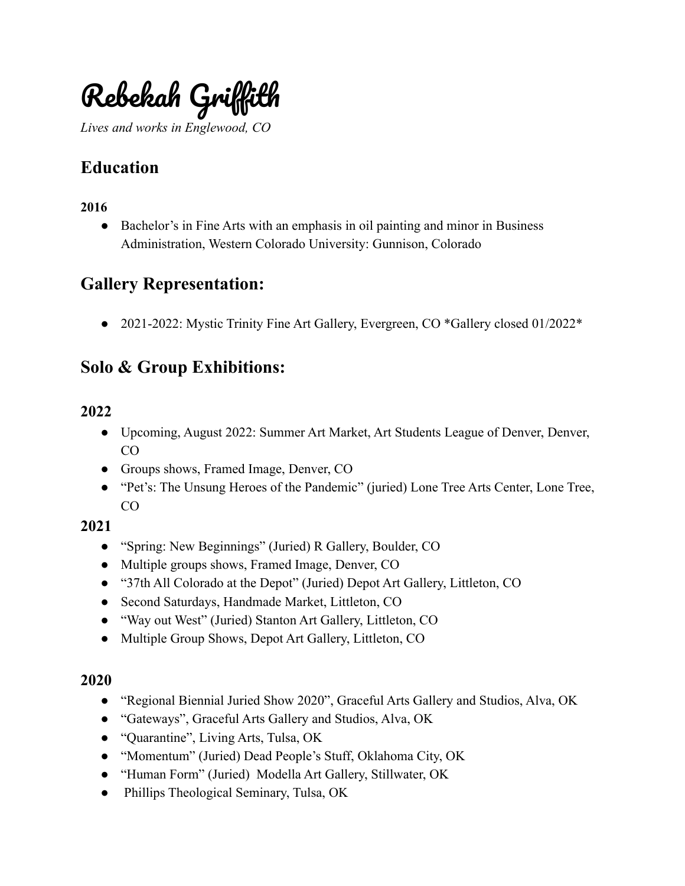

*Lives and works in Englewood, CO*

# **Education**

#### **2016**

• Bachelor's in Fine Arts with an emphasis in oil painting and minor in Business Administration, Western Colorado University: Gunnison, Colorado

## **Gallery Representation:**

● 2021-2022: Mystic Trinity Fine Art Gallery, Evergreen, CO \*Gallery closed 01/2022\*

## **Solo & Group Exhibitions:**

#### **2022**

- Upcoming, August 2022: Summer Art Market, Art Students League of Denver, Denver, CO
- Groups shows, Framed Image, Denver, CO
- "Pet's: The Unsung Heroes of the Pandemic" (juried) Lone Tree Arts Center, Lone Tree, CO

#### **2021**

- "Spring: New Beginnings" (Juried) R Gallery, Boulder, CO
- Multiple groups shows, Framed Image, Denver, CO
- "37th All Colorado at the Depot" (Juried) Depot Art Gallery, Littleton, CO
- Second Saturdays, Handmade Market, Littleton, CO
- "Way out West" (Juried) Stanton Art Gallery, Littleton, CO
- Multiple Group Shows, Depot Art Gallery, Littleton, CO

#### **2020**

- "Regional Biennial Juried Show 2020", Graceful Arts Gallery and Studios, Alva, OK
- "Gateways", Graceful Arts Gallery and Studios, Alva, OK
- "Quarantine", Living Arts, Tulsa, OK
- "Momentum" (Juried) Dead People's Stuff, Oklahoma City, OK
- "Human Form" (Juried) Modella Art Gallery, Stillwater, OK
- Phillips Theological Seminary, Tulsa, OK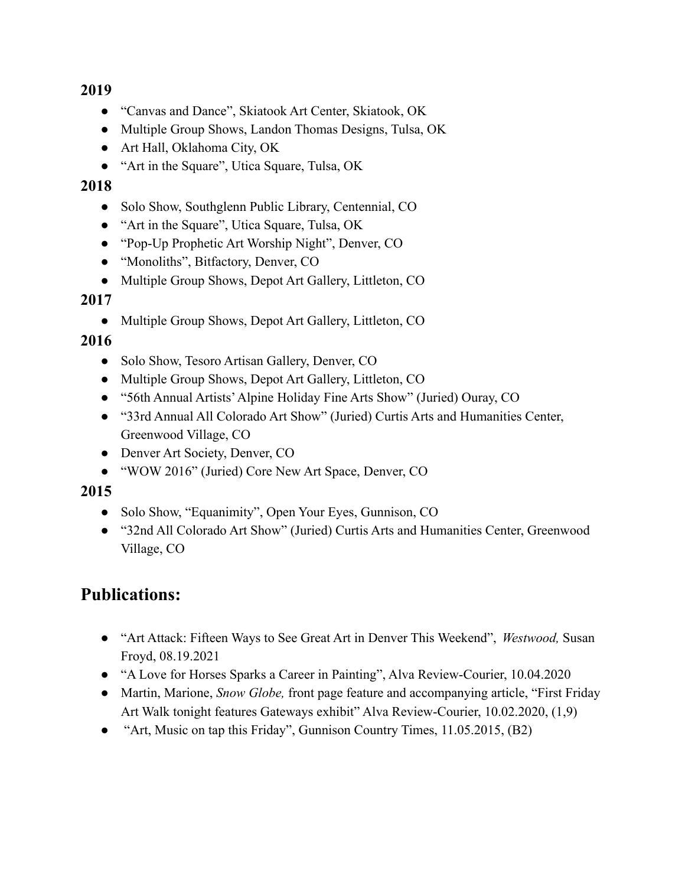#### **2019**

- "Canvas and Dance", Skiatook Art Center, Skiatook, OK
- Multiple Group Shows, Landon Thomas Designs, Tulsa, OK
- Art Hall, Oklahoma City, OK
- "Art in the Square", Utica Square, Tulsa, OK

#### **2018**

- Solo Show, Southglenn Public Library, Centennial, CO
- "Art in the Square", Utica Square, Tulsa, OK
- "Pop-Up Prophetic Art Worship Night", Denver, CO
- "Monoliths", Bitfactory, Denver, CO
- Multiple Group Shows, Depot Art Gallery, Littleton, CO

#### **2017**

• Multiple Group Shows, Depot Art Gallery, Littleton, CO

### **2016**

- Solo Show, Tesoro Artisan Gallery, Denver, CO
- Multiple Group Shows, Depot Art Gallery, Littleton, CO
- "56th Annual Artists'Alpine Holiday Fine Arts Show" (Juried) Ouray, CO
- "33rd Annual All Colorado Art Show" (Juried) Curtis Arts and Humanities Center, Greenwood Village, CO
- Denver Art Society, Denver, CO
- "WOW 2016" (Juried) Core New Art Space, Denver, CO

#### **2015**

- Solo Show, "Equanimity", Open Your Eyes, Gunnison, CO
- "32nd All Colorado Art Show" (Juried) Curtis Arts and Humanities Center, Greenwood Village, CO

## **Publications:**

- "Art Attack: Fifteen Ways to See Great Art in Denver This Weekend", *Westwood,* Susan Froyd, 08.19.2021
- "A Love for Horses Sparks a Career in Painting", Alva Review-Courier, 10.04.2020
- *●* Martin, Marione, *Snow Globe,* front page feature and accompanying article, "First Friday Art Walk tonight features Gateways exhibit" Alva Review-Courier, 10.02.2020, (1,9)
- "Art, Music on tap this Friday", Gunnison Country Times, 11.05.2015, (B2)